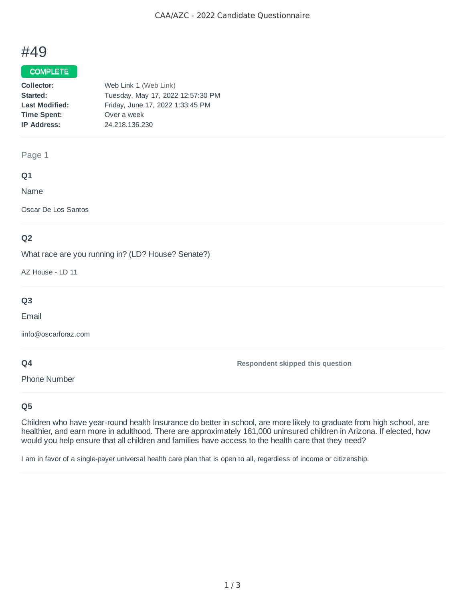# #49

### COMPLETE

| Collector:            | Web Link 1 (Web Link)             |
|-----------------------|-----------------------------------|
| Started:              | Tuesday, May 17, 2022 12:57:30 PM |
| <b>Last Modified:</b> | Friday, June 17, 2022 1:33:45 PM  |
| <b>Time Spent:</b>    | Over a week                       |
| <b>IP Address:</b>    | 24.218.136.230                    |
|                       |                                   |

### Page 1

## **Q1**

Name

Oscar De Los Santos

## **Q2**

What race are you running in? (LD? House? Senate?)

AZ House - LD 11

## **Q3**

Email

iinfo@oscarforaz.com

### **Q4**

Phone Number

**Respondent skipped this question**

## **Q5**

Children who have year-round health Insurance do better in school, are more likely to graduate from high school, are healthier, and earn more in adulthood. There are approximately 161,000 uninsured children in Arizona. If elected, how would you help ensure that all children and families have access to the health care that they need?

I am in favor of a single-payer universal health care plan that is open to all, regardless of income or citizenship.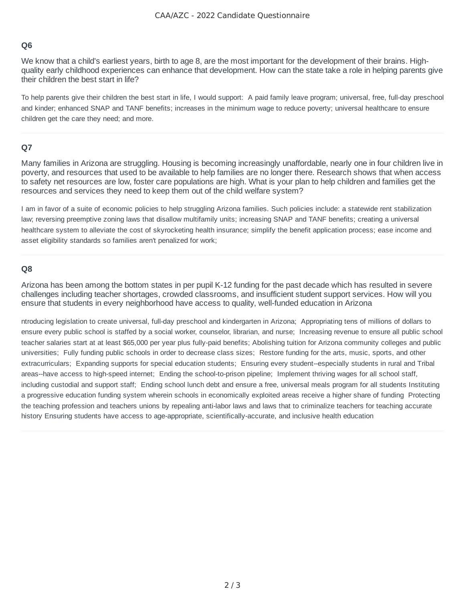## **Q6**

We know that a child's earliest years, birth to age 8, are the most important for the development of their brains. Highquality early childhood experiences can enhance that development. How can the state take a role in helping parents give their children the best start in life?

To help parents give their children the best start in life, I would support: A paid family leave program; universal, free, full-day preschool and kinder; enhanced SNAP and TANF benefits; increases in the minimum wage to reduce poverty; universal healthcare to ensure children get the care they need; and more.

## **Q7**

Many families in Arizona are struggling. Housing is becoming increasingly unaffordable, nearly one in four children live in poverty, and resources that used to be available to help families are no longer there. Research shows that when access to safety net resources are low, foster care populations are high. What is your plan to help children and families get the resources and services they need to keep them out of the child welfare system?

I am in favor of a suite of economic policies to help struggling Arizona families. Such policies include: a statewide rent stabilization law; reversing preemptive zoning laws that disallow multifamily units; increasing SNAP and TANF benefits; creating a universal healthcare system to alleviate the cost of skyrocketing health insurance; simplify the benefit application process; ease income and asset eligibility standards so families aren't penalized for work;

#### **Q8**

Arizona has been among the bottom states in per pupil K-12 funding for the past decade which has resulted in severe challenges including teacher shortages, crowded classrooms, and insufficient student support services. How will you ensure that students in every neighborhood have access to quality, well-funded education in Arizona

ntroducing legislation to create universal, full-day preschool and kindergarten in Arizona; Appropriating tens of millions of dollars to ensure every public school is staffed by a social worker, counselor, librarian, and nurse; Increasing revenue to ensure all public school teacher salaries start at at least \$65,000 per year plus fully-paid benefits; Abolishing tuition for Arizona community colleges and public universities; Fully funding public schools in order to decrease class sizes; Restore funding for the arts, music, sports, and other extracurriculars; Expanding supports for special education students; Ensuring every student--especially students in rural and Tribal areas--have access to high-speed internet; Ending the school-to-prison pipeline; Implement thriving wages for all school staff, including custodial and support staff; Ending school lunch debt and ensure a free, universal meals program for all students Instituting a progressive education funding system wherein schools in economically exploited areas receive a higher share of funding Protecting the teaching profession and teachers unions by repealing anti-labor laws and laws that to criminalize teachers for teaching accurate history Ensuring students have access to age-appropriate, scientifically-accurate, and inclusive health education